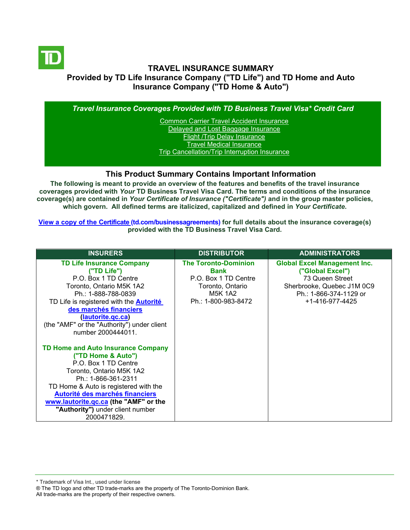

## **TRAVEL INSURANCE SUMMARY Provided by TD Life Insurance Company ("TD Life") and TD Home and Auto Insurance Company ("TD Home & Auto")**

*Travel Insurance Coverages Provided with TD Business Travel Visa\* Credit Card*

Common Carrier Travel Accident Insurance [Delayed and Lost Baggage Insurance](#page-4-0) [Flight /Trip Delay Insurance](#page-5-0) [Travel Medical Insurance](#page-6-0) [Trip Cancellation/Trip Interruption Insurance](#page-7-0)

#### **This Product Summary Contains Important Information**

**The following is meant to provide an overview of the features and benefits of the travel insurance coverages provided with** *Your* **TD Business Travel Visa Card. The terms and conditions of the insurance coverage(s) are contained in** *Your Certificate of Insurance ("Certificate")* **and in the group master policies, which govern. All defined terms are italicized, [capitalized and defined](https://www.td.com/ca/en/business-banking/how-to/manage-my-business-credit-card/getting-started/) in** *Your Certificate***.**

**[View a copy of the Certificate](https://www.td.com/ca/en/business-banking/how-to/manage-my-business-credit-card/getting-started/) (td.com/businessagreements) for full details about the insurance coverage(s) provided with the TD Business Travel Visa Card.**

| <b>INSURERS</b>                                                                                                                                                                                                                                                                                                    | <b>DISTRIBUTOR</b>                                                                                                       | <b>ADMINISTRATORS</b>                                                                                                                                 |
|--------------------------------------------------------------------------------------------------------------------------------------------------------------------------------------------------------------------------------------------------------------------------------------------------------------------|--------------------------------------------------------------------------------------------------------------------------|-------------------------------------------------------------------------------------------------------------------------------------------------------|
| <b>TD Life Insurance Company</b><br>("TD Life")<br>P.O. Box 1 TD Centre<br>Toronto, Ontario M5K 1A2<br>Ph.: 1-888-788-0839<br>TD Life is registered with the <b>Autorité</b><br>des marchés financiers<br>(lautorite.gc.ca)<br>(the "AMF" or the "Authority") under client<br>number 2000444011.                   | <b>The Toronto-Dominion</b><br><b>Bank</b><br>P.O. Box 1 TD Centre<br>Toronto, Ontario<br>M5K 1A2<br>Ph.: 1-800-983-8472 | <b>Global Excel Management Inc.</b><br>("Global Excel")<br>73 Queen Street<br>Sherbrooke, Quebec J1M 0C9<br>Ph.: 1-866-374-1129 or<br>+1-416-977-4425 |
| <b>TD Home and Auto Insurance Company</b><br>("TD Home & Auto")<br>P.O. Box 1 TD Centre<br>Toronto, Ontario M5K 1A2<br>Ph.: 1-866-361-2311<br>TD Home & Auto is registered with the<br>Autorité des marchés financiers<br>www.lautorite.gc.ca (the "AMF" or the<br>"Authority") under client number<br>2000471829. |                                                                                                                          |                                                                                                                                                       |

\* Trademark of Visa Int., used under license

All trade-marks are the property of their respective owners.

<sup>®</sup> The TD logo and other TD trade-marks are the property of The Toronto-Dominion Bank.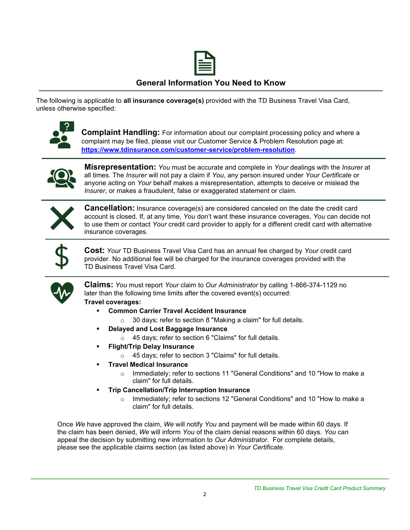

## **General Information You Need to Know**

The following is applicable to **all insurance coverage(s)** provided with the TD Business Travel Visa Card, unless otherwise specified*:*



**Complaint Handling:** For information about our complaint processing policy and where a complaint may be filed, please visit our Customer Service & Problem Resolution page at: **<https://www.tdinsurance.com/customer-service/problem-resolution>**.



**Misrepresentation:** *You* must be accurate and complete in *Your* dealings with the *Insurer* at all times. The *Insurer* will not pay a claim if *You*, any person insured under *Your Certificate* or anyone acting on *Your* behalf makes a misrepresentation, attempts to deceive or mislead the *Insurer*, or makes a fraudulent, false or exaggerated statement or claim.



**Cancellation:** Insurance coverage(s) are considered canceled on the date the credit card account is closed. If, at any time, *You* don't want these insurance coverages, *You* can decide not to use them or contact *Your* credit card provider to apply for a different credit card with alternative insurance coverages.



**Cost:** *Your* TD Business Travel Visa Card has an annual fee charged by *Your* credit card provider. No additional fee will be charged for the insurance coverages provided with the TD Business Travel Visa Card.



**Claims:** *You* must report *Your* claim to *Our Administrator* by calling 1-866-374-1129 no later than the following time limits after the covered event(s) occurred:

**Travel coverages:**

- **Common Carrier Travel Accident Insurance** 
	- o 30 days; refer to section 8 "Making a claim" for full details.
- **Delayed and Lost Baggage Insurance** 
	- o 45 days; refer to section 6 "Claims" for full details.
- **Flight/Trip Delay Insurance** 
	- o 45 days; refer to section 3 "Claims" for full details.
- **Travel Medical Insurance** 
	- o Immediately; refer to sections 11 "General Conditions" and 10 "How to make a claim" for full details.
- **Trip Cancellation/Trip Interruption Insurance** 
	- o Immediately; refer to sections 12 "General Conditions" and 10 "How to make a claim" for full details.

Once *We* have approved the claim, *We* will notify *You* and payment will be made within 60 days. If the claim has been denied, *We* will inform *You* of the claim denial reasons within 60 days. *You* can appeal the decision by submitting new information to *Our Administrator*. For complete details, please see the applicable claims section (as listed above) in *Your Certificate.*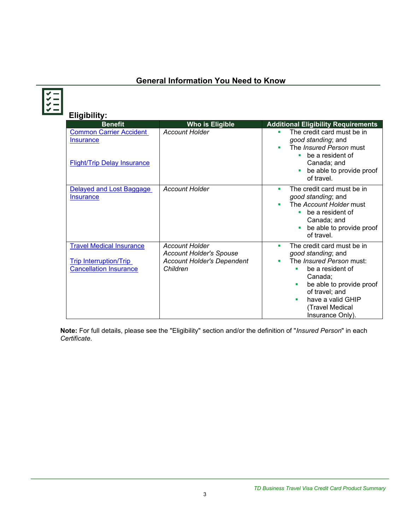# **General Information You Need to Know**

| <b>Eligibility:</b><br><b>Benefit</b>                                                             | <b>Who is Eligible</b>                                                                                   | <b>Additional Eligibility Requirements</b>                                                                                                                                                                                             |
|---------------------------------------------------------------------------------------------------|----------------------------------------------------------------------------------------------------------|----------------------------------------------------------------------------------------------------------------------------------------------------------------------------------------------------------------------------------------|
| <b>Common Carrier Accident</b><br>Insurance<br><b>Flight/Trip Delay Insurance</b>                 | <b>Account Holder</b>                                                                                    | The credit card must be in<br>good standing; and<br>The <i>Insured Person</i> must<br>be a resident of<br>Canada; and<br>be able to provide proof<br>of travel.                                                                        |
| Delayed and Lost Baggage<br><b>Insurance</b>                                                      | <b>Account Holder</b>                                                                                    | The credit card must be in<br>٠<br>good standing; and<br>The Account Holder must<br>be a resident of<br>٠<br>Canada; and<br>be able to provide proof<br>of travel.                                                                     |
| <b>Travel Medical Insurance</b><br><b>Trip Interruption/Trip</b><br><b>Cancellation Insurance</b> | <b>Account Holder</b><br><b>Account Holder's Spouse</b><br><b>Account Holder's Dependent</b><br>Children | The credit card must be in<br>٠<br>good standing; and<br>The <i>Insured Person</i> must:<br>be a resident of<br>Canada:<br>be able to provide proof<br>of travel; and<br>have a valid GHIP<br>٠<br>(Travel Medical<br>Insurance Only). |

**Note:** For full details, please see the "Eligibility" section and/or the definition of "*Insured Person*" in each *Certificate*.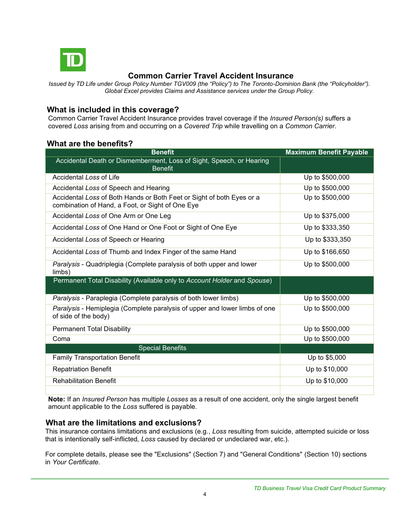

## **Common Carrier Travel Accident Insurance**

*Issued by TD Life under Group Policy Number TGV009 (the "Policy") to The Toronto-Dominion Bank (the "Policyholder"). Global Excel provides Claims and Assistance services under the Group Policy.*

## **What is included in this coverage?**

Common Carrier Travel Accident Insurance provides travel coverage if the *Insured Person(s)* suffers a covered *Loss* arising from and occurring on a *Covered Trip* while travelling on a *Common Carrier*.

## **What are the benefits?**

| <b>Benefit</b>                                                                                                            | <b>Maximum Benefit Payable</b> |
|---------------------------------------------------------------------------------------------------------------------------|--------------------------------|
| Accidental Death or Dismemberment, Loss of Sight, Speech, or Hearing<br><b>Benefit</b>                                    |                                |
| Accidental Loss of Life                                                                                                   | Up to \$500,000                |
| Accidental Loss of Speech and Hearing                                                                                     | Up to \$500,000                |
| Accidental Loss of Both Hands or Both Feet or Sight of both Eyes or a<br>combination of Hand, a Foot, or Sight of One Eye | Up to \$500,000                |
| Accidental Loss of One Arm or One Leg                                                                                     | Up to \$375,000                |
| Accidental Loss of One Hand or One Foot or Sight of One Eye                                                               | Up to \$333,350                |
| Accidental Loss of Speech or Hearing                                                                                      | Up to \$333,350                |
| Accidental Loss of Thumb and Index Finger of the same Hand                                                                | Up to \$166,650                |
| Paralysis - Quadriplegia (Complete paralysis of both upper and lower<br>limbs)                                            | Up to \$500,000                |
| Permanent Total Disability (Available only to Account Holder and Spouse)                                                  |                                |
| Paralysis - Paraplegia (Complete paralysis of both lower limbs)                                                           | Up to \$500,000                |
| Paralysis - Hemiplegia (Complete paralysis of upper and lower limbs of one<br>of side of the body)                        | Up to \$500,000                |
| <b>Permanent Total Disability</b>                                                                                         | Up to \$500,000                |
| Coma                                                                                                                      | Up to \$500,000                |
| <b>Special Benefits</b>                                                                                                   |                                |
| <b>Family Transportation Benefit</b>                                                                                      | Up to \$5,000                  |
| <b>Repatriation Benefit</b>                                                                                               | Up to \$10,000                 |
| <b>Rehabilitation Benefit</b>                                                                                             | Up to \$10,000                 |
|                                                                                                                           |                                |

**Note:** If an *Insured Person* has multiple *Losses* as a result of one accident, only the single largest benefit amount applicable to the *Loss* suffered is payable.

### **What are the limitations and exclusions?**

This insurance contains limitations and exclusions (e.g., *Loss* resulting from suicide, attempted suicide or loss that is intentionally self-inflicted*, Loss* caused by declared or undeclared war, etc.).

For complete details, please see the "Exclusions" (Section 7) and "General Conditions" (Section 10) sections in *Your Certificate.*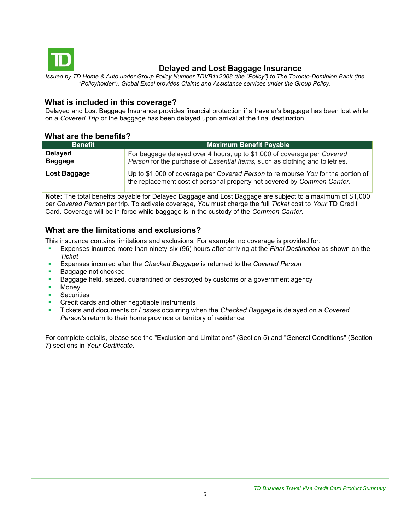

## <span id="page-4-0"></span> **Delayed and Lost Baggage Insurance**

*Issued by TD Home & Auto under Group Policy Number TDVB112008 (the "Policy") to The Toronto-Dominion Bank (the "Policyholder"). Global Excel provides Claims and Assistance services under the Group Policy.*

## **What is included in this coverage?**

Delayed and Lost Baggage Insurance provides financial protection if a traveler's baggage has been lost while on a *Covered Trip* or the baggage has been delayed upon arrival at the final destination.

## **What are the benefits?**

| <b>Benefit</b>                   | <b>Maximum Benefit Payable</b>                                                                                                                               |
|----------------------------------|--------------------------------------------------------------------------------------------------------------------------------------------------------------|
| <b>Delayed</b><br><b>Baggage</b> | For baggage delayed over 4 hours, up to \$1,000 of coverage per Covered<br>Person for the purchase of Essential Items, such as clothing and toiletries.      |
| Lost Baggage                     | Up to \$1,000 of coverage per Covered Person to reimburse You for the portion of<br>the replacement cost of personal property not covered by Common Carrier. |

**Note:** The total benefits payable for Delayed Baggage and Lost Baggage are subject to a maximum of \$1,000 per *Covered Person* per trip. To activate coverage, *You* must charge the full *Ticket* cost to *Your* TD Credit Card. Coverage will be in force while baggage is in the custody of the *Common Carrier*.

## **What are the limitations and exclusions?**

This insurance contains limitations and exclusions. For example, no coverage is provided for:

- Expenses incurred more than ninety-six (96) hours after arriving at the *Final Destination* as shown on the *Ticket*
- Expenses incurred after the *Checked Baggage* is returned to the *Covered Person*
- Baggage not checked
- Baggage held, seized, quarantined or destroyed by customs or a government agency
- Money
- **•** Securities
- Credit cards and other negotiable instruments
- Tickets and documents or *Losses* occurring when the *Checked Baggage* is delayed on a *Covered Person's* return to their home province or territory of residence.

For complete details, please see the "Exclusion and Limitations" (Section 5) and "General Conditions" (Section 7) sections in *Your Certificate.*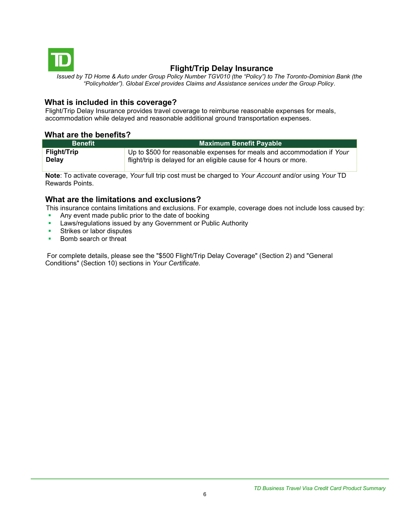

## <span id="page-5-0"></span> **Flight/Trip Delay Insurance**

*Issued by TD Home & Auto under Group Policy Number TGV010 (the "Policy") to The Toronto-Dominion Bank (the "Policyholder"). Global Excel provides Claims and Assistance services under the Group Policy.*

## **What is included in this coverage?**

Flight/Trip Delay Insurance provides travel coverage to reimburse reasonable expenses for meals, accommodation while delayed and reasonable additional ground transportation expenses.

### **What are the benefits?**

| <b>Benefit</b>     | <b>Maximum Benefit Payable</b>                                          |  |
|--------------------|-------------------------------------------------------------------------|--|
| <b>Flight/Trip</b> | Up to \$500 for reasonable expenses for meals and accommodation if Your |  |
| <b>Delay</b>       | flight/trip is delayed for an eligible cause for 4 hours or more.       |  |

**Note**: To activate coverage, *Your* full trip cost must be charged to *Your Account* and/or using *Your* TD Rewards Points.

#### **What are the limitations and exclusions?**

This insurance contains limitations and exclusions. For example, coverage does not include loss caused by:

- Any event made public prior to the date of booking
- **EXEDENT EXEDENT IS LAWS ISSUED BY ANY GOVERNMENT OF Public Authority**
- **EXECUTE:** Strikes or labor disputes
- Bomb search or threat

For complete details, please see the "\$500 Flight/Trip Delay Coverage" (Section 2) and "General Conditions" (Section 10) sections in *Your Certificate.*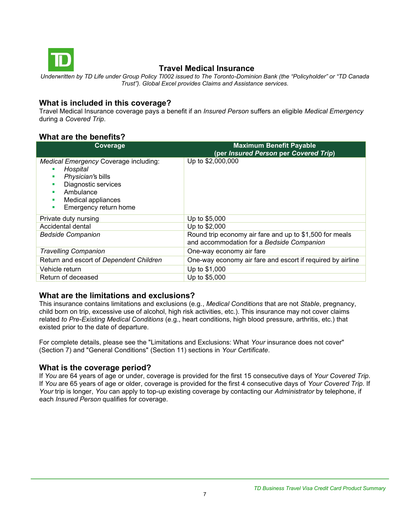

## <span id="page-6-0"></span>**Travel Medical Insurance**

*Underwritten by TD Life under Group Policy TI002 issued to The Toronto-Dominion Bank (the "Policyholder" or "TD Canada Trust"). Global Excel provides Claims and Assistance services.*

## **What is included in this coverage?**

Travel Medical Insurance coverage pays a benefit if an *Insured Person* suffers an eligible *Medical Emergency*  during a *Covered Trip*.

## **What are the benefits?**

| Coverage                                                                                                                                                                      | <b>Maximum Benefit Payable</b><br>(per Insured Person per Covered Trip)                              |
|-------------------------------------------------------------------------------------------------------------------------------------------------------------------------------|------------------------------------------------------------------------------------------------------|
| Medical Emergency Coverage including:<br>Hospital<br>Physician's bills<br>п<br>Diagnostic services<br>п<br>Ambulance<br>Medical appliances<br>п<br>Emergency return home<br>٠ | Up to \$2,000,000                                                                                    |
| Private duty nursing                                                                                                                                                          | Up to \$5,000                                                                                        |
| Accidental dental                                                                                                                                                             | Up to \$2,000                                                                                        |
| <b>Bedside Companion</b>                                                                                                                                                      | Round trip economy air fare and up to \$1,500 for meals<br>and accommodation for a Bedside Companion |
| <b>Travelling Companion</b>                                                                                                                                                   | One-way economy air fare                                                                             |
| Return and escort of Dependent Children                                                                                                                                       | One-way economy air fare and escort if required by airline                                           |
| Vehicle return                                                                                                                                                                | Up to \$1,000                                                                                        |
| Return of deceased                                                                                                                                                            | Up to \$5,000                                                                                        |

## **What are the limitations and exclusions?**

This insurance contains limitations and exclusions (e.g., *Medical Conditions* that are not *Stable*, pregnancy, child born on trip, excessive use of alcohol, high risk activities, etc.). This insurance may not cover claims related *to Pre-Existing Medical Conditions* (e.g., heart conditions, high blood pressure, arthritis, etc.) that existed prior to the date of departure.

For complete details, please see the "Limitations and Exclusions: What *Your* insurance does not cover" (Section 7) and "General Conditions" (Section 11) sections in *Your Certificate*.

### **What is the coverage period?**

If *You* are 64 years of age or under, coverage is provided for the first 15 consecutive days of *Your Covered Trip*. If *You* are 65 years of age or older, coverage is provided for the first 4 consecutive days of *Your Covered Trip*. If *Your* trip is longer, *You* can apply to top-up existing coverage by contacting our *Administrator* by telephone, if each *Insured Person* qualifies for coverage.